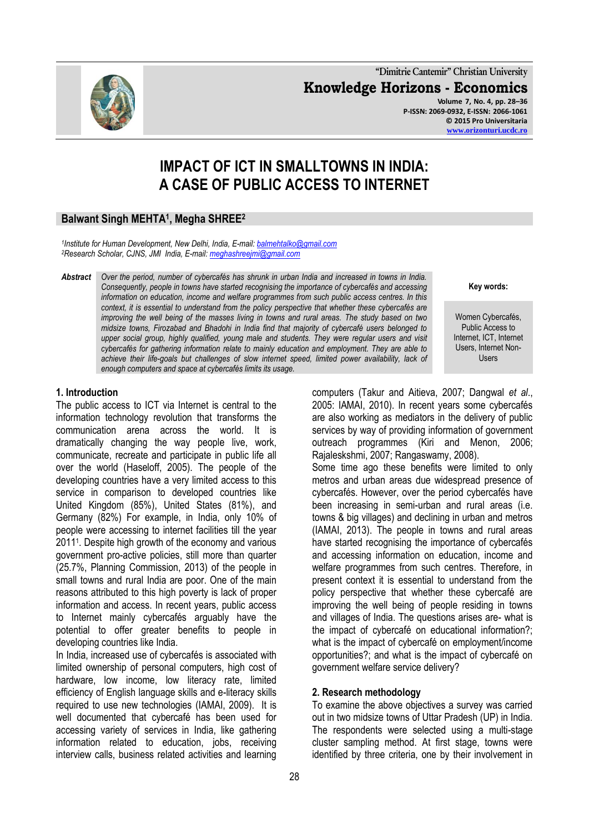**"Dimitrie Cantemir" Christian University Knowledge Horizons - Economics Volume 7, No. 4, pp. 28–36 P-ISSN: 2069-0932, E-ISSN: 2066-1061**

# **IMPACT OF ICT IN SMALLTOWNS IN INDIA: A CASE OF PUBLIC ACCESS TO INTERNET**

# **Balwant Singh MEHTA<sup>1</sup> , Megha SHREE<sup>2</sup>**

*1 Institute for Human Development, New Delhi, India, E-mail[: balmehtalko@gmail.com](mailto:balmehtalko@gmail.com) <sup>2</sup>Research Scholar, CJNS, JMI India, E-mail: [meghashreejmi@gmail.com](mailto:meghashreejmi@gmail.com)*

*Abstract Over the period, number of cybercafés has shrunk in urban India and increased in towns in India. Consequently, people in towns have started recognising the importance of cybercafés and accessing information on education, income and welfare programmes from such public access centres. In this context, it is essential to understand from the policy perspective that whether these cybercafés are improving the well being of the masses living in towns and rural areas. The study based on two midsize towns, Firozabad and Bhadohi in India find that majority of cybercafé users belonged to upper social group, highly qualified, young male and students. They were regular users and visit cybercafés for gathering information relate to mainly education and employment. They are able to achieve their life-goals but challenges of slow internet speed, limited power availability, lack of enough computers and space at cybercafés limits its usage.* 

#### **1. Introduction**

The public access to ICT via Internet is central to the information technology revolution that transforms the communication arena across the world. It is dramatically changing the way people live, work, communicate, recreate and participate in public life all over the world (Haseloff, 2005). The people of the developing countries have a very limited access to this service in comparison to developed countries like United Kingdom (85%), United States (81%), and Germany (82%) For example, in India, only 10% of people were accessing to internet facilities till the year 2011<sup>1</sup> . Despite high growth of the economy and various government pro-active policies, still more than quarter (25.7%, Planning Commission, 2013) of the people in small towns and rural India are poor. One of the main reasons attributed to this high poverty is lack of proper information and access. In recent years, public access to Internet mainly cybercafés arguably have the potential to offer greater benefits to people in developing countries like India.

In India, increased use of cybercafés is associated with limited ownership of personal computers, high cost of hardware, low income, low literacy rate, limited efficiency of English language skills and e-literacy skills required to use new technologies (IAMAI, 2009). It is well documented that cybercafé has been used for accessing variety of services in India, like gathering information related to education, jobs, receiving interview calls, business related activities and learning

**Key words:**

Women Cybercafés, Public Access to Internet, ICT, Internet Users, Internet Non-Users

computers (Takur and Aitieva, 2007; Dangwal *et al*., 2005: IAMAI, 2010). In recent years some cybercafés are also working as mediators in the delivery of public services by way of providing information of government outreach programmes (Kiri and Menon, 2006; Rajaleskshmi, 2007; Rangaswamy, 2008).

Some time ago these benefits were limited to only metros and urban areas due widespread presence of cybercafés. However, over the period cybercafés have been increasing in semi-urban and rural areas (i.e. towns & big villages) and declining in urban and metros (IAMAI, 2013). The people in towns and rural areas have started recognising the importance of cybercafés and accessing information on education, income and welfare programmes from such centres. Therefore, in present context it is essential to understand from the policy perspective that whether these cybercafé are improving the well being of people residing in towns and villages of India. The questions arises are- what is the impact of cybercafé on educational information?; what is the impact of cybercafé on employment/income opportunities?; and what is the impact of cybercafé on government welfare service delivery?

#### **2. Research methodology**

To examine the above objectives a survey was carried out in two midsize towns of Uttar Pradesh (UP) in India. The respondents were selected using a multi-stage cluster sampling method. At first stage, towns were identified by three criteria, one by their involvement in

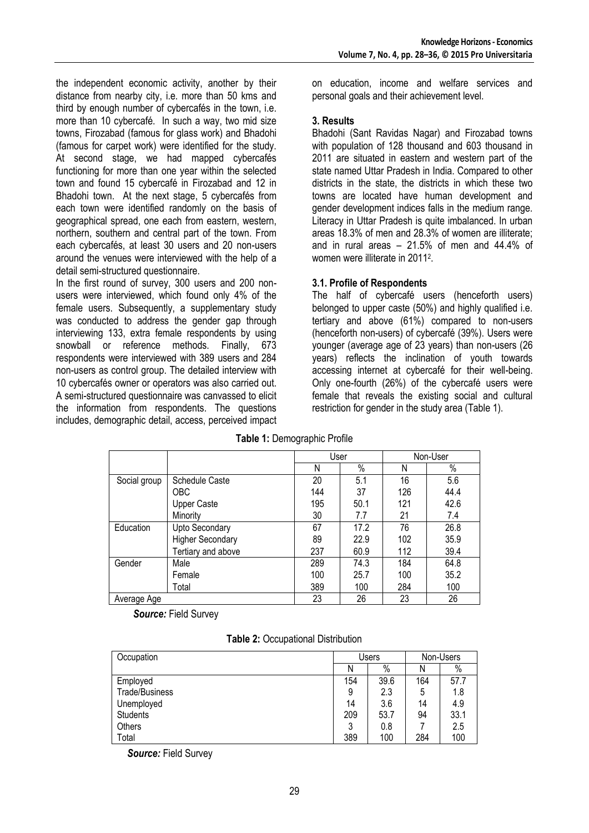the independent economic activity, another by their distance from nearby city, i.e. more than 50 kms and third by enough number of cybercafés in the town, i.e. more than 10 cybercafé. In such a way, two mid size towns, Firozabad (famous for glass work) and Bhadohi (famous for carpet work) were identified for the study. At second stage, we had mapped cybercafés functioning for more than one year within the selected town and found 15 cybercafé in Firozabad and 12 in Bhadohi town. At the next stage, 5 cybercafés from each town were identified randomly on the basis of geographical spread, one each from eastern, western, northern, southern and central part of the town. From each cybercafés, at least 30 users and 20 non-users around the venues were interviewed with the help of a detail semi-structured questionnaire.

In the first round of survey, 300 users and 200 nonusers were interviewed, which found only 4% of the female users. Subsequently, a supplementary study was conducted to address the gender gap through interviewing 133, extra female respondents by using snowball or reference methods. Finally, 673 respondents were interviewed with 389 users and 284 non-users as control group. The detailed interview with 10 cybercafés owner or operators was also carried out. A semi-structured questionnaire was canvassed to elicit the information from respondents. The questions includes, demographic detail, access, perceived impact on education, income and welfare services and personal goals and their achievement level.

### **3. Results**

Bhadohi (Sant Ravidas Nagar) and Firozabad towns with population of 128 thousand and 603 thousand in 2011 are situated in eastern and western part of the state named Uttar Pradesh in India. Compared to other districts in the state, the districts in which these two towns are located have human development and gender development indices falls in the medium range. Literacy in Uttar Pradesh is quite imbalanced. In urban areas 18.3% of men and 28.3% of women are illiterate; and in rural areas – 21.5% of men and 44.4% of women were illiterate in 2011<sup>2</sup>.

# **3.1. Profile of Respondents**

The half of cybercafé users (henceforth users) belonged to upper caste (50%) and highly qualified i.e. tertiary and above (61%) compared to non-users (henceforth non-users) of cybercafé (39%). Users were younger (average age of 23 years) than non-users (26 years) reflects the inclination of youth towards accessing internet at cybercafé for their well-being. Only one-fourth (26%) of the cybercafé users were female that reveals the existing social and cultural restriction for gender in the study area (Table 1).

|              |                         | User |      |     | Non-User |
|--------------|-------------------------|------|------|-----|----------|
|              |                         | N    | %    | N   | $\%$     |
| Social group | <b>Schedule Caste</b>   | 20   | 5.1  | 16  | 5.6      |
|              | <b>OBC</b>              | 144  | 37   | 126 | 44.4     |
|              | <b>Upper Caste</b>      | 195  | 50.1 | 121 | 42.6     |
|              | Minority                | 30   | 7.7  | 21  | 7.4      |
| Education    | <b>Upto Secondary</b>   | 67   | 17.2 | 76  | 26.8     |
|              | <b>Higher Secondary</b> | 89   | 22.9 | 102 | 35.9     |
|              | Tertiary and above      | 237  | 60.9 | 112 | 39.4     |
| Gender       | Male                    | 289  | 74.3 | 184 | 64.8     |
|              | Female                  | 100  | 25.7 | 100 | 35.2     |
|              | Total                   | 389  | 100  | 284 | 100      |
| Average Age  |                         | 23   | 26   | 23  | 26       |

**Table 1:** Demographic Profile

*Source:* Field Survey

# **Table 2:** Occupational Distribution

| Occupation      | <b>Users</b> |      | Non-Users |      |
|-----------------|--------------|------|-----------|------|
|                 | N            | $\%$ | N         | $\%$ |
| Employed        | 154          | 39.6 | 164       | 57.7 |
| Trade/Business  | 9            | 2.3  | 5         | 1.8  |
| Unemployed      | 14           | 3.6  | 14        | 4.9  |
| <b>Students</b> | 209          | 53.7 | 94        | 33.1 |
| Others          | 3            | 0.8  |           | 2.5  |
| Total           | 389          | 100  | 284       | 100  |

*Source:* Field Survey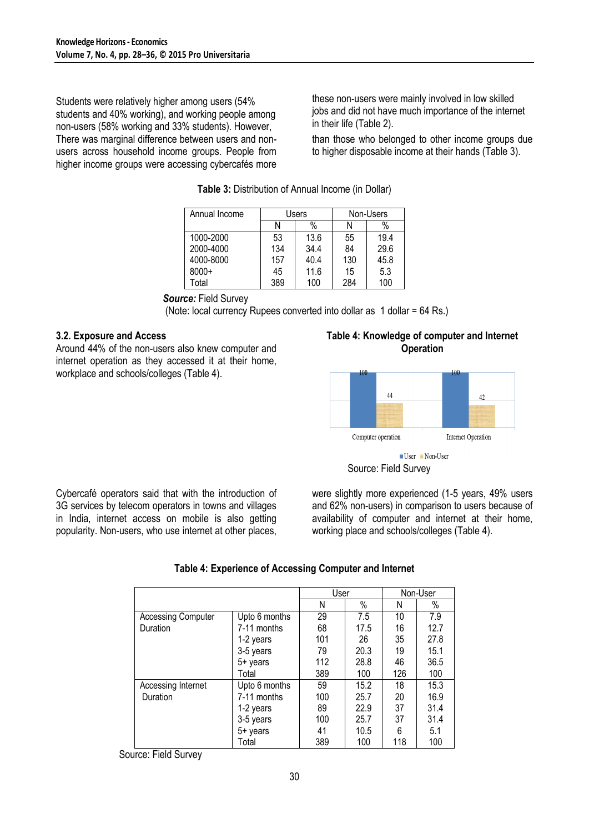Students were relatively higher among users (54% students and 40% working), and working people among non-users (58% working and 33% students). However, There was marginal difference between users and nonusers across household income groups. People from higher income groups were accessing cybercafés more

these non-users were mainly involved in low skilled jobs and did not have much importance of the internet in their life (Table 2).

than those who belonged to other income groups due to higher disposable income at their hands (Table 3).

| Annual Income | Users |      | Non-Users |      |  |
|---------------|-------|------|-----------|------|--|
|               | N     | %    | N         | %    |  |
| 1000-2000     | 53    | 13.6 | 55        | 19.4 |  |
| 2000-4000     | 134   | 34.4 | 84        | 29.6 |  |
| 4000-8000     | 157   | 40.4 | 130       | 45.8 |  |
| $8000+$       | 45    | 11.6 | 15        | 5.3  |  |
| Total         | 389   | 100  | 284       | 100  |  |

## **Table 3:** Distribution of Annual Income (in Dollar)

### *Source:* Field Survey

(Note: local currency Rupees converted into dollar as 1 dollar = 64 Rs.)

### **3.2. Exposure and Access**

Around 44% of the non-users also knew computer and internet operation as they accessed it at their home, workplace and schools/colleges (Table 4).

**Table 4: Knowledge of computer and Internet Operation**





Cybercafé operators said that with the introduction of 3G services by telecom operators in towns and villages in India, internet access on mobile is also getting popularity. Non-users, who use internet at other places, were slightly more experienced (1-5 years, 49% users and 62% non-users) in comparison to users because of availability of computer and internet at their home, working place and schools/colleges (Table 4).

|                           |               | User |      |     | Non-User |
|---------------------------|---------------|------|------|-----|----------|
|                           |               | N    | $\%$ | Ν   | $\%$     |
| <b>Accessing Computer</b> | Upto 6 months | 29   | 7.5  | 10  | 7.9      |
| Duration                  | 7-11 months   | 68   | 17.5 | 16  | 12.7     |
|                           | 1-2 years     | 101  | 26   | 35  | 27.8     |
|                           | 3-5 years     | 79   | 20.3 | 19  | 15.1     |
|                           | $5+$ years    | 112  | 28.8 | 46  | 36.5     |
|                           | Total         | 389  | 100  | 126 | 100      |
| Accessing Internet        | Upto 6 months | 59   | 15.2 | 18  | 15.3     |
| Duration                  | 7-11 months   | 100  | 25.7 | 20  | 16.9     |
|                           | 1-2 years     | 89   | 22.9 | 37  | 31.4     |
|                           | 3-5 years     | 100  | 25.7 | 37  | 31.4     |
|                           | $5+$ years    | 41   | 10.5 | 6   | 5.1      |
|                           | Total         | 389  | 100  | 118 | 100      |

# **Table 4: Experience of Accessing Computer and Internet**

Source: Field Survey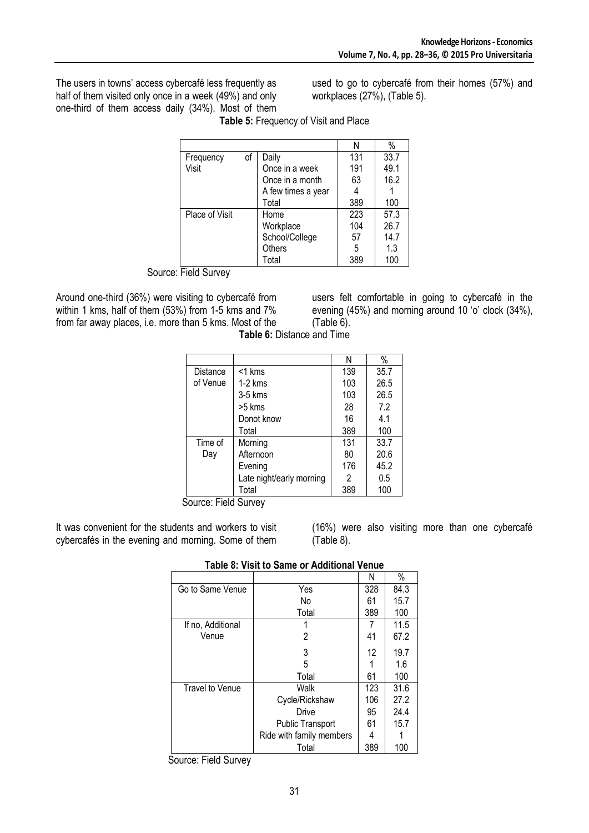The users in towns" access cybercafé less frequently as half of them visited only once in a week (49%) and only one-third of them access daily (34%). Most of them used to go to cybercafé from their homes (57%) and workplaces (27%), (Table 5).

|                |    |                    | Ν   | $\%$ |
|----------------|----|--------------------|-----|------|
| Frequency      | of | Daily              | 131 | 33.7 |
| Visit          |    | Once in a week     | 191 | 49.1 |
|                |    | Once in a month    | 63  | 16.2 |
|                |    | A few times a year |     |      |
|                |    | Total              | 389 | 100  |
| Place of Visit |    | Home               | 223 | 57.3 |
|                |    | Workplace          | 104 | 26.7 |
|                |    | School/College     | 57  | 14.7 |
|                |    | Others             | 5   | 1.3  |
|                |    | Total              | 389 | 100  |

**Table 5:** Frequency of Visit and Place

Source: Field Survey

Around one-third (36%) were visiting to cybercafé from within 1 kms, half of them (53%) from 1-5 kms and 7% from far away places, i.e. more than 5 kms. Most of the users felt comfortable in going to cybercafé in the evening (45%) and morning around 10 'o' clock (34%), (Table 6).

|                      |                          | Ν   | $\%$ |
|----------------------|--------------------------|-----|------|
| Distance             | $<$ 1 kms                | 139 | 35.7 |
| of Venue             | $1-2$ kms                | 103 | 26.5 |
|                      | $3-5$ kms                | 103 | 26.5 |
|                      | $>5$ kms                 | 28  | 7.2  |
|                      | Donot know               | 16  | 4.1  |
|                      | Total                    | 389 | 100  |
| Time of              | Morning                  | 131 | 33.7 |
| Day                  | Afternoon                | 80  | 20.6 |
|                      | Evening                  | 176 | 45.2 |
|                      | Late night/early morning | 2   | 0.5  |
|                      | Total                    | 389 | 100  |
| Source: Field Survey |                          |     |      |

**Table 6:** Distance and Time

It was convenient for the students and workers to visit cybercafés in the evening and morning. Some of them

(16%) were also visiting more than one cybercafé (Table 8).

| $\overline{\phantom{a}}$ ושוטרונוסט שנוווט שוניו אונ |                          |     |      |  |
|------------------------------------------------------|--------------------------|-----|------|--|
|                                                      |                          | Ν   | %    |  |
| Go to Same Venue                                     | Yes                      | 328 | 84.3 |  |
|                                                      | No                       | 61  | 15.7 |  |
|                                                      | Total                    | 389 | 100  |  |
| If no, Additional                                    |                          |     | 11.5 |  |
| Venue                                                | 2                        | 41  | 67.2 |  |
|                                                      | 3                        | 12  | 19.7 |  |
|                                                      | 5                        |     | 1.6  |  |
|                                                      | Total                    | 61  | 100  |  |
| Travel to Venue                                      | Walk                     | 123 | 31.6 |  |
|                                                      | Cycle/Rickshaw           | 106 | 27.2 |  |
|                                                      | Drive                    | 95  | 24.4 |  |
|                                                      | <b>Public Transport</b>  | 61  | 15.7 |  |
|                                                      | Ride with family members | 4   |      |  |
|                                                      | Total                    | 389 | 100  |  |

Source: Field Survey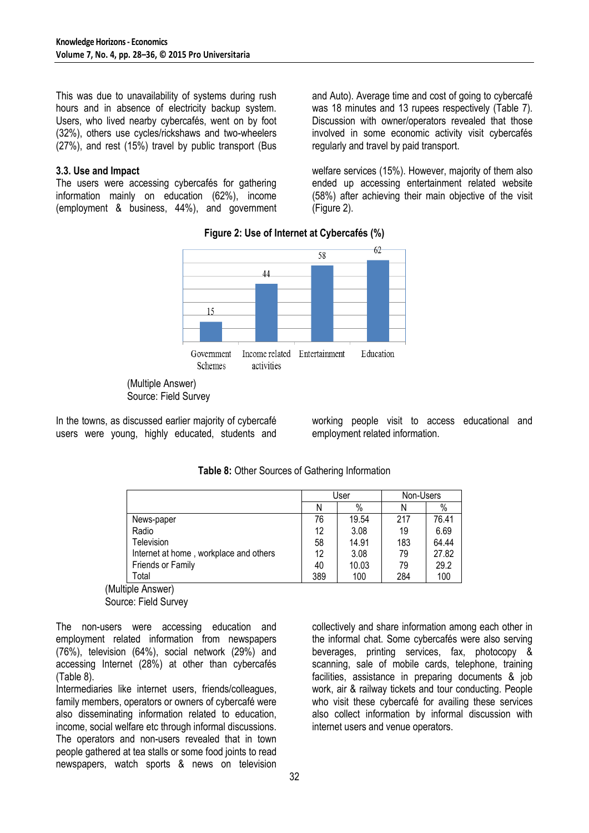This was due to unavailability of systems during rush hours and in absence of electricity backup system. Users, who lived nearby cybercafés, went on by foot (32%), others use cycles/rickshaws and two-wheelers (27%), and rest (15%) travel by public transport (Bus

#### **3.3. Use and Impact**

The users were accessing cybercafés for gathering information mainly on education (62%), income (employment & business, 44%), and government and Auto). Average time and cost of going to cybercafé was 18 minutes and 13 rupees respectively (Table 7). Discussion with owner/operators revealed that those involved in some economic activity visit cybercafés regularly and travel by paid transport.

welfare services (15%). However, majority of them also ended up accessing entertainment related website (58%) after achieving their main objective of the visit (Figure 2).

**Figure 2: Use of Internet at Cybercafés (%)**



(Multiple Answer) Source: Field Survey

In the towns, as discussed earlier majority of cybercafé users were young, highly educated, students and working people visit to access educational and employment related information.

|                                        | User |       | Non-Users |       |
|----------------------------------------|------|-------|-----------|-------|
|                                        | Ν    | $\%$  | N         | $\%$  |
| News-paper                             | 76   | 19.54 | 217       | 76.41 |
| Radio                                  | 12   | 3.08  | 19        | 6.69  |
| <b>Television</b>                      | 58   | 14.91 | 183       | 64.44 |
| Internet at home, workplace and others | 12   | 3.08  | 79        | 27.82 |
| Friends or Family                      | 40   | 10.03 | 79        | 29.2  |
| Total                                  | 389  | 100   | 284       | 100   |

**Table 8:** Other Sources of Gathering Information

(Multiple Answer) Source: Field Survey

The non-users were accessing education and employment related information from newspapers (76%), television (64%), social network (29%) and accessing Internet (28%) at other than cybercafés (Table 8).

Intermediaries like internet users, friends/colleagues, family members, operators or owners of cybercafé were also disseminating information related to education, income, social welfare etc through informal discussions. The operators and non-users revealed that in town people gathered at tea stalls or some food joints to read newspapers, watch sports & news on television

collectively and share information among each other in the informal chat. Some cybercafés were also serving beverages, printing services, fax, photocopy & scanning, sale of mobile cards, telephone, training facilities, assistance in preparing documents & job work, air & railway tickets and tour conducting. People who visit these cybercafé for availing these services also collect information by informal discussion with internet users and venue operators.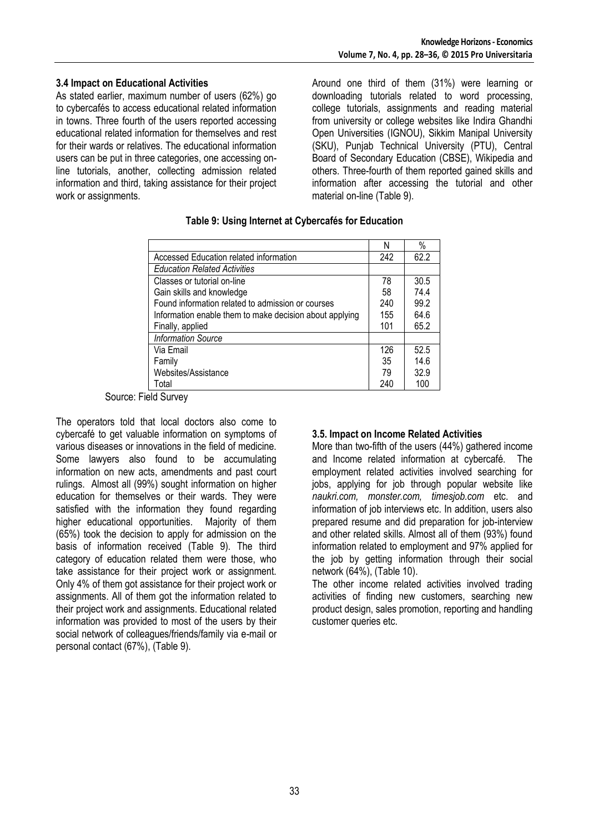#### **3.4 Impact on Educational Activities**

As stated earlier, maximum number of users (62%) go to cybercafés to access educational related information in towns. Three fourth of the users reported accessing educational related information for themselves and rest for their wards or relatives. The educational information users can be put in three categories, one accessing online tutorials, another, collecting admission related information and third, taking assistance for their project work or assignments.

Around one third of them (31%) were learning or downloading tutorials related to word processing, college tutorials, assignments and reading material from university or college websites like Indira Ghandhi Open Universities (IGNOU), Sikkim Manipal University (SKU), Punjab Technical University (PTU), Central Board of Secondary Education (CBSE), Wikipedia and others. Three-fourth of them reported gained skills and information after accessing the tutorial and other material on-line (Table 9).

|                                                         | Ν   | $\%$ |
|---------------------------------------------------------|-----|------|
| Accessed Education related information                  | 242 | 62.2 |
| <b>Education Related Activities</b>                     |     |      |
| Classes or tutorial on-line                             | 78  | 30.5 |
| Gain skills and knowledge                               | 58  | 74.4 |
| Found information related to admission or courses       | 240 | 99.2 |
| Information enable them to make decision about applying | 155 | 64.6 |
| Finally, applied                                        | 101 | 65.2 |
| <b>Information Source</b>                               |     |      |
| Via Email                                               | 126 | 52.5 |
| Family                                                  | 35  | 14.6 |
| Websites/Assistance                                     | 79  | 32.9 |
| Total                                                   | 240 | 100  |

#### **Table 9: Using Internet at Cybercafés for Education**

Source: Field Survey

The operators told that local doctors also come to cybercafé to get valuable information on symptoms of various diseases or innovations in the field of medicine. Some lawyers also found to be accumulating information on new acts, amendments and past court rulings. Almost all (99%) sought information on higher education for themselves or their wards. They were satisfied with the information they found regarding higher educational opportunities. Majority of them (65%) took the decision to apply for admission on the basis of information received (Table 9). The third category of education related them were those, who take assistance for their project work or assignment. Only 4% of them got assistance for their project work or assignments. All of them got the information related to their project work and assignments. Educational related information was provided to most of the users by their social network of colleagues/friends/family via e-mail or personal contact (67%), (Table 9).

#### **3.5. Impact on Income Related Activities**

More than two-fifth of the users (44%) gathered income and Income related information at cybercafé. The employment related activities involved searching for jobs, applying for job through popular website like *naukri.com, monster.com, timesjob.com* etc. and information of job interviews etc. In addition, users also prepared resume and did preparation for job-interview and other related skills. Almost all of them (93%) found information related to employment and 97% applied for the job by getting information through their social network (64%), (Table 10).

The other income related activities involved trading activities of finding new customers, searching new product design, sales promotion, reporting and handling customer queries etc.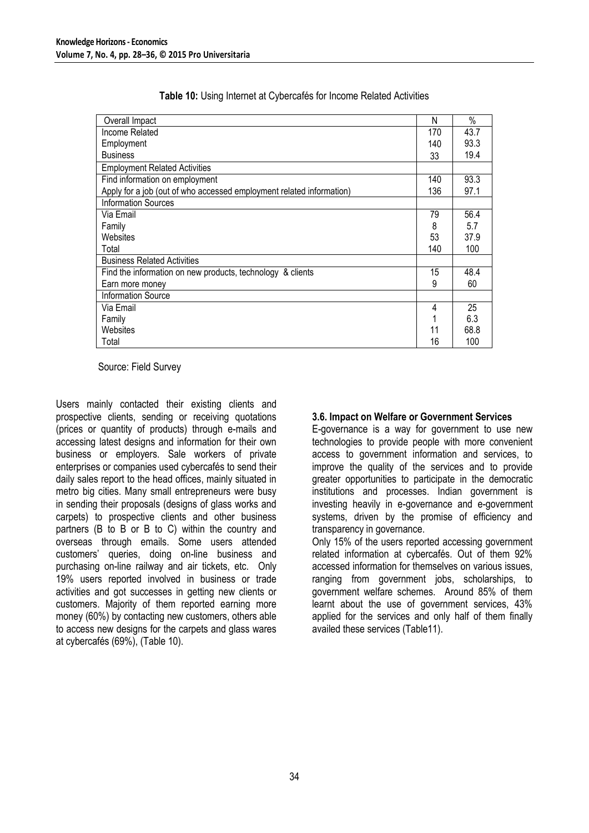| Overall Impact                                                       | N   | $\frac{0}{0}$ |
|----------------------------------------------------------------------|-----|---------------|
| Income Related                                                       | 170 | 43.7          |
| Employment                                                           | 140 | 93.3          |
| <b>Business</b>                                                      | 33  | 19.4          |
| <b>Employment Related Activities</b>                                 |     |               |
| Find information on employment                                       | 140 | 93.3          |
| Apply for a job (out of who accessed employment related information) | 136 | 97.1          |
| <b>Information Sources</b>                                           |     |               |
| Via Email                                                            | 79  | 56.4          |
| Family                                                               | 8   | 5.7           |
| Websites                                                             | 53  | 37.9          |
| Total                                                                | 140 | 100           |
| <b>Business Related Activities</b>                                   |     |               |
| Find the information on new products, technology & clients           | 15  | 48.4          |
| Earn more money                                                      | 9   | 60            |
| <b>Information Source</b>                                            |     |               |
| Via Email                                                            | 4   | 25            |
| Family                                                               |     | 6.3           |
| Websites                                                             | 11  | 68.8          |
| Total                                                                | 16  | 100           |

|  | Table 10: Using Internet at Cybercafés for Income Related Activities |  |  |  |
|--|----------------------------------------------------------------------|--|--|--|
|--|----------------------------------------------------------------------|--|--|--|

Source: Field Survey

Users mainly contacted their existing clients and prospective clients, sending or receiving quotations (prices or quantity of products) through e-mails and accessing latest designs and information for their own business or employers. Sale workers of private enterprises or companies used cybercafés to send their daily sales report to the head offices, mainly situated in metro big cities. Many small entrepreneurs were busy in sending their proposals (designs of glass works and carpets) to prospective clients and other business partners (B to B or B to C) within the country and overseas through emails. Some users attended customers" queries, doing on-line business and purchasing on-line railway and air tickets, etc*.* Only 19% users reported involved in business or trade activities and got successes in getting new clients or customers. Majority of them reported earning more money (60%) by contacting new customers, others able to access new designs for the carpets and glass wares at cybercafés (69%), (Table 10).

#### **3.6. Impact on Welfare or Government Services**

E-governance is a way for government to use new technologies to provide people with more convenient access to government information and services, to improve the quality of the services and to provide greater opportunities to participate in the democratic institutions and processes. Indian government is investing heavily in e-governance and e-government systems, driven by the promise of efficiency and transparency in governance.

Only 15% of the users reported accessing government related information at cybercafés*.* Out of them 92% accessed information for themselves on various issues, ranging from government jobs, scholarships, to government welfare schemes. Around 85% of them learnt about the use of government services, 43% applied for the services and only half of them finally availed these services (Table11).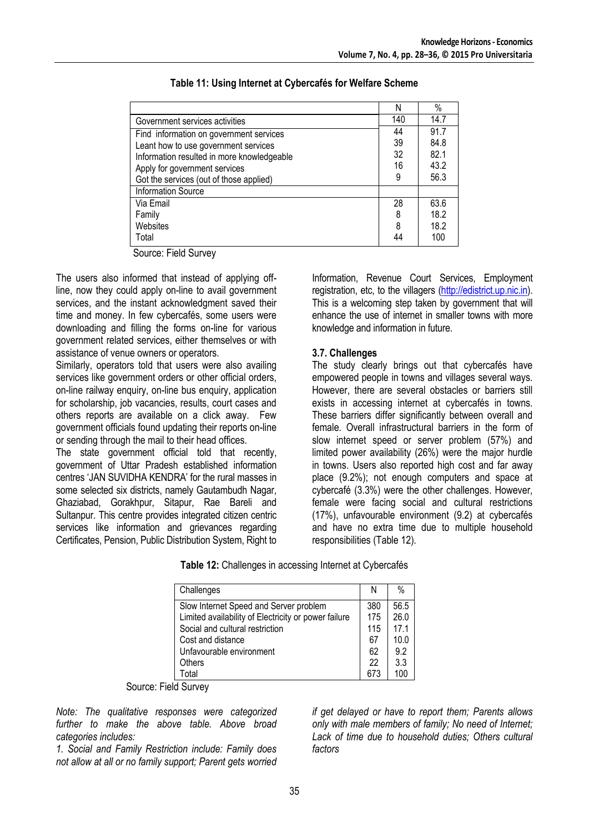|                                            | N   | $\%$ |
|--------------------------------------------|-----|------|
| Government services activities             | 140 | 14.7 |
| Find information on government services    | 44  | 91.7 |
| Leant how to use government services       | 39  | 84.8 |
| Information resulted in more knowledgeable | 32  | 82.1 |
| Apply for government services              | 16  | 43.2 |
| Got the services (out of those applied)    | 9   | 56.3 |
| <b>Information Source</b>                  |     |      |
| Via Email                                  | 28  | 63.6 |
| Family                                     | 8   | 18.2 |
| Websites                                   | 8   | 18.2 |
| Total                                      | 44  | 100  |

### **Table 11: Using Internet at Cybercafés for Welfare Scheme**

Source: Field Survey

The users also informed that instead of applying offline, now they could apply on-line to avail government services, and the instant acknowledgment saved their time and money. In few cybercafés, some users were downloading and filling the forms on-line for various government related services, either themselves or with assistance of venue owners or operators.

Similarly, operators told that users were also availing services like government orders or other official orders, on-line railway enquiry, on-line bus enquiry, application for scholarship, job vacancies, results, court cases and others reports are available on a click away. Few government officials found updating their reports on-line or sending through the mail to their head offices.

The state government official told that recently, government of Uttar Pradesh established information centres "JAN SUVIDHA KENDRA" for the rural masses in some selected six districts, namely Gautambudh Nagar, Ghaziabad, Gorakhpur, Sitapur, Rae Bareli and Sultanpur. This centre provides integrated citizen centric services like information and grievances regarding Certificates, Pension, Public Distribution System, Right to Information, Revenue Court Services, Employment registration, etc, to the villagers [\(http://edistrict.up.nic.in\)](http://edistrict.up.nic.in/). This is a welcoming step taken by government that will enhance the use of internet in smaller towns with more knowledge and information in future.

## **3.7. Challenges**

The study clearly brings out that cybercafés have empowered people in towns and villages several ways. However, there are several obstacles or barriers still exists in accessing internet at cybercafés in towns. These barriers differ significantly between overall and female*.* Overall infrastructural barriers in the form of slow internet speed or server problem (57%) and limited power availability (26%) were the major hurdle in towns. Users also reported high cost and far away place (9.2%); not enough computers and space at cybercafé (3.3%) were the other challenges. However, female were facing social and cultural restrictions (17%), unfavourable environment (9.2) at cybercafés and have no extra time due to multiple household responsibilities (Table 12).

|  |  | Table 12: Challenges in accessing Internet at Cybercafés |  |  |  |
|--|--|----------------------------------------------------------|--|--|--|
|--|--|----------------------------------------------------------|--|--|--|

| Challenges                                           | Ν   | $\%$            |
|------------------------------------------------------|-----|-----------------|
| Slow Internet Speed and Server problem               | 380 | 56.5            |
| Limited availability of Electricity or power failure | 175 | 26.0            |
| Social and cultural restriction                      | 115 | 17 <sub>1</sub> |
| Cost and distance                                    | 67  | 10.0            |
| Unfavourable environment                             | 62  | 9.2             |
| Others                                               | 22  | 3.3             |
| Total                                                |     | 10 <sub>0</sub> |

Source: Field Survey

*Note: The qualitative responses were categorized further to make the above table. Above broad categories includes:*

*1. Social and Family Restriction include: Family does not allow at all or no family support; Parent gets worried*  *if get delayed or have to report them; Parents allows only with male members of family; No need of Internet;*  Lack of time due to household duties: Others cultural *factors*